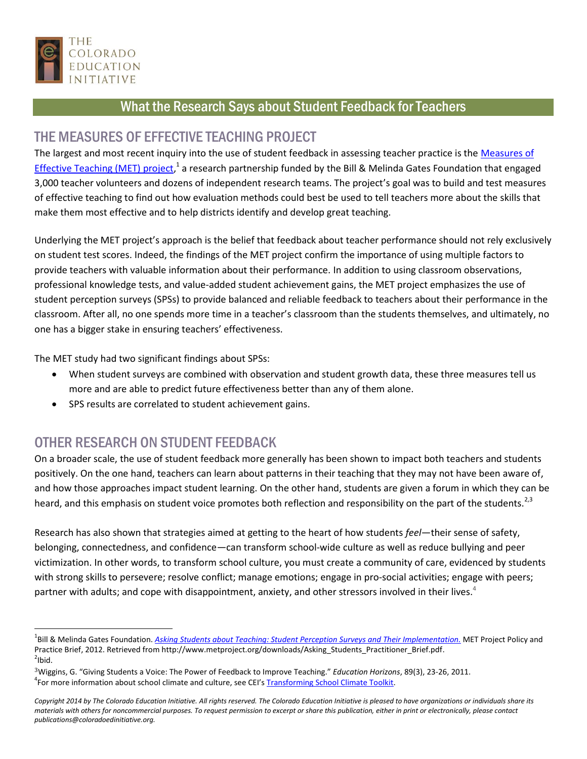

## What the Research Says about Student Feedback for Teachers

## THE MEASURES OF EFFECTIVE TEACHING PROJECT

The largest and most recent inquiry into the use of student feedback in assessing teacher practice is the Measures of [Effective Teaching \(MET\) project,](http://www.metproject.org/index.php)<sup>1</sup> a research partnership funded by the Bill & Melinda Gates Foundation that engaged 3,000 teacher volunteers and dozens of independent research teams. The project's goal was to build and test measures of effective teaching to find out how evaluation methods could best be used to tell teachers more about the skills that make them most effective and to help districts identify and develop great teaching.

Underlying the MET project's approach is the belief that feedback about teacher performance should not rely exclusively on student test scores. Indeed, the findings of the MET project confirm the importance of using multiple factors to provide teachers with valuable information about their performance. In addition to using classroom observations, professional knowledge tests, and value-added student achievement gains, the MET project emphasizes the use of student perception surveys (SPSs) to provide balanced and reliable feedback to teachers about their performance in the classroom. After all, no one spends more time in a teacher's classroom than the students themselves, and ultimately, no one has a bigger stake in ensuring teachers' effectiveness.

The MET study had two significant findings about SPSs:

- When student surveys are combined with observation and student growth data, these three measures tell us more and are able to predict future effectiveness better than any of them alone.
- SPS results are correlated to student achievement gains.

## OTHER RESEARCH ON STUDENT FEEDBACK

 $\overline{a}$ 

On a broader scale, the use of student feedback more generally has been shown to impact both teachers and students positively. On the one hand, teachers can learn about patterns in their teaching that they may not have been aware of, and how those approaches impact student learning. On the other hand, students are given a forum in which they can be heard, and this emphasis on student voice promotes both reflection and responsibility on the part of the students.<sup>2,3</sup>

Research has also shown that strategies aimed at getting to the heart of how students *feel*—their sense of safety, belonging, connectedness, and confidence—can transform school-wide culture as well as reduce bullying and peer victimization. In other words, to transform school culture, you must create a community of care, evidenced by students with strong skills to persevere; resolve conflict; manage emotions; engage in pro-social activities; engage with peers; partner with adults; and cope with disappointment, anxiety, and other stressors involved in their lives.<sup>4</sup>

<sup>&</sup>lt;sup>1</sup>Bill & Melinda Gates Foundation. <u>[Asking Students about Teaching: Student Perception Surveys and Their Implementation.](http://www.metproject.org/downloads/Asking_Students_Practitioner_Brief.pdf)</u> MET Project Policy and Practice Brief, 2012. Retrieved from http://www.metproject.org/downloads/Asking\_Students\_Practitioner\_Brief.pdf.  $^{2}$ Ibid.

<sup>3</sup>Wiggins, G. "Giving Students a Voice: The Power of Feedback to Improve Teaching." *Education Horizons*, 89(3), 23-26, 2011. <sup>4</sup>For more information about school climate and culture, see CEI's **Transforming School Climate Toolkit**.

*Copyright 2014 by The Colorado Education Initiative. All rights reserved. The Colorado Education Initiative is pleased to have organizations or individuals share its materials with others for noncommercial purposes. To request permission to excerpt or share this publication, either in print or electronically, please contact publications@coloradoedinitiative.org.*